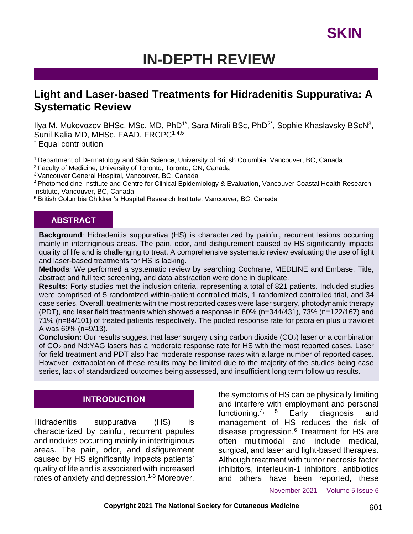### **IN-DEPTH REVIEW**

### **Light and Laser-based Treatments for Hidradenitis Suppurativa: A Systematic Review**

llya M. Mukovozov BHSc, MSc, MD, PhD<sup>1\*</sup>, Sara Mirali BSc, PhD<sup>2\*</sup>, Sophie Khaslavsky BScN<sup>3</sup>, Sunil Kalia MD, MHSc, FAAD, FRCPC<sup>1,4,5</sup>

**Equal contribution** 

<sup>1</sup> Department of Dermatology and Skin Science, University of British Columbia, Vancouver, BC, Canada

<sup>2</sup>Faculty of Medicine, University of Toronto, Toronto, ON, Canada

<sup>3</sup>Vancouver General Hospital, Vancouver, BC, Canada

<sup>4</sup>Photomedicine Institute and Centre for Clinical Epidemiology & Evaluation, Vancouver Coastal Health Research Institute, Vancouver, BC, Canada

<sup>5</sup> British Columbia Children's Hospital Research Institute, Vancouver, BC, Canada

#### **ABSTRACT**

**Background***:* Hidradenitis suppurativa (HS) is characterized by painful, recurrent lesions occurring mainly in intertriginous areas. The pain, odor, and disfigurement caused by HS significantly impacts quality of life and is challenging to treat. A comprehensive systematic review evaluating the use of light and laser-based treatments for HS is lacking.

**Methods***:* We performed a systematic review by searching Cochrane, MEDLINE and Embase. Title, abstract and full text screening, and data abstraction were done in duplicate.

**Results:** Forty studies met the inclusion criteria, representing a total of 821 patients. Included studies were comprised of 5 randomized within-patient controlled trials, 1 randomized controlled trial, and 34 case series. Overall, treatments with the most reported cases were laser surgery, photodynamic therapy (PDT), and laser field treatments which showed a response in 80% (n=344/431), 73% (n=122/167) and 71% (n=84/101) of treated patients respectively. The pooled response rate for psoralen plus ultraviolet A was 69% (n=9/13).

**Conclusion:** Our results suggest that laser surgery using carbon dioxide (CO<sub>2</sub>) laser or a combination of CO<sub>2</sub> and Nd:YAG lasers has a moderate response rate for HS with the most reported cases. Laser for field treatment and PDT also had moderate response rates with a large number of reported cases. However, extrapolation of these results may be limited due to the majority of the studies being case series, lack of standardized outcomes being assessed, and insufficient long term follow up results.

#### **INTRODUCTION**

Hidradenitis suppurativa (HS) is characterized by painful, recurrent papules and nodules occurring mainly in intertriginous areas. The pain, odor, and disfigurement caused by HS significantly impacts patients' quality of life and is associated with increased rates of anxiety and depression.<sup>1-3</sup> Moreover,

the symptoms of HS can be physically limiting and interfere with employment and personal functioning.<sup>4, 5</sup> Early diagnosis and management of HS reduces the risk of disease progression.<sup>6</sup> Treatment for HS are often multimodal and include medical, surgical, and laser and light-based therapies. Although treatment with tumor necrosis factor inhibitors, interleukin-1 inhibitors, antibiotics and others have been reported, these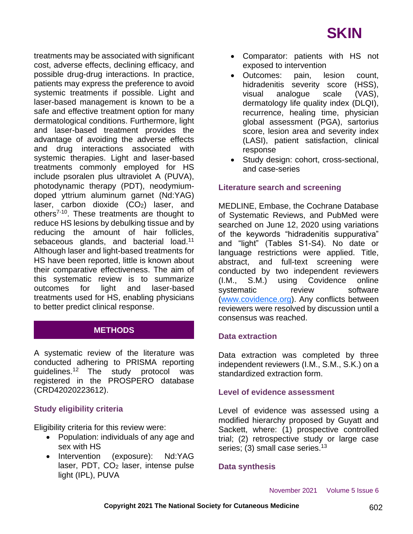treatments may be associated with significant cost, adverse effects, declining efficacy, and possible drug-drug interactions. In practice, patients may express the preference to avoid systemic treatments if possible. Light and laser-based management is known to be a safe and effective treatment option for many dermatological conditions. Furthermore, light and laser-based treatment provides the advantage of avoiding the adverse effects and drug interactions associated with systemic therapies. Light and laser-based treatments commonly employed for HS include psoralen plus ultraviolet A (PUVA), photodynamic therapy (PDT), neodymiumdoped yttrium aluminum garnet (Nd:YAG) laser, carbon dioxide  $(CO<sub>2</sub>)$  laser, and others<sup>7-10</sup>. These treatments are thought to reduce HS lesions by debulking tissue and by reducing the amount of hair follicles, sebaceous glands, and bacterial load.<sup>11</sup> Although laser and light-based treatments for HS have been reported, little is known about their comparative effectiveness. The aim of this systematic review is to summarize outcomes for light and laser-based treatments used for HS, enabling physicians to better predict clinical response.

### **METHODS**

A systematic review of the literature was conducted adhering to PRISMA reporting guidelines.<sup>12</sup> The study protocol was registered in the PROSPERO database (CRD42020223612).

#### **Study eligibility criteria**

Eligibility criteria for this review were:

- Population: individuals of any age and sex with HS
- Intervention (exposure): Nd:YAG laser, PDT, CO<sub>2</sub> laser, intense pulse light (IPL), PUVA
- Comparator: patients with HS not exposed to intervention
- Outcomes: pain, lesion count, hidradenitis severity score (HSS), visual analogue scale (VAS), dermatology life quality index (DLQI), recurrence, healing time, physician global assessment (PGA), sartorius score, lesion area and severity index (LASI), patient satisfaction, clinical response
- Study design: cohort, cross-sectional, and case-series

#### **Literature search and screening**

MEDLINE, Embase, the Cochrane Database of Systematic Reviews, and PubMed were searched on June 12, 2020 using variations of the keywords "hidradenitis suppurativa" and "light" (Tables S1-S4). No date or language restrictions were applied. Title, abstract, and full-text screening were conducted by two independent reviewers (I.M., S.M.) using Covidence online systematic review software [\(www.covidence.org\)](http://www.covidence.org/). Any conflicts between reviewers were resolved by discussion until a consensus was reached.

#### **Data extraction**

Data extraction was completed by three independent reviewers (I.M., S.M., S.K.) on a standardized extraction form.

#### **Level of evidence assessment**

Level of evidence was assessed using a modified hierarchy proposed by Guyatt and Sackett, where: (1) prospective controlled trial; (2) retrospective study or large case series; (3) small case series.<sup>13</sup>

#### **Data synthesis**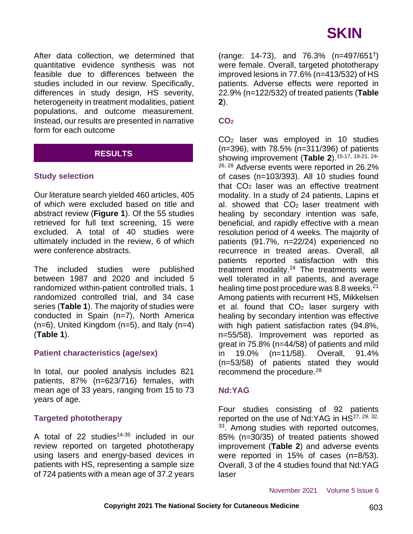After data collection, we determined that quantitative evidence synthesis was not feasible due to differences between the studies included in our review. Specifically, differences in study design, HS severity, heterogeneity in treatment modalities, patient populations, and outcome measurement. Instead, our results are presented in narrative form for each outcome

### **RESULTS**

#### **Study selection**

Our literature search yielded 460 articles, 405 of which were excluded based on title and abstract review (**Figure 1**). Of the 55 studies retrieved for full text screening, 15 were excluded. A total of 40 studies were ultimately included in the review, 6 of which were conference abstracts.

The included studies were published between 1987 and 2020 and included 5 randomized within-patient controlled trials, 1 randomized controlled trial, and 34 case series (**Table 1**). The majority of studies were conducted in Spain (n=7), North America  $(n=6)$ , United Kingdom  $(n=5)$ , and Italy  $(n=4)$ (**Table 1**).

#### **Patient characteristics (age/sex)**

In total, our pooled analysis includes 821 patients, 87% (n=623/716) females, with mean age of 33 years, ranging from 15 to 73 years of age.

#### **Targeted phototherapy**

A total of 22 studies<sup> $14-35$ </sup> included in our review reported on targeted phototherapy using lasers and energy-based devices in patients with HS, representing a sample size of 724 patients with a mean age of 37.2 years

(range: 14-73), and 76.3% (n=497/651† ) were female. Overall, targeted phototherapy improved lesions in 77.6% (n=413/532) of HS patients. Adverse effects were reported in 22.9% (n=122/532) of treated patients (**Table 2**).

#### **CO<sup>2</sup>**

CO<sup>2</sup> laser was employed in 10 studies (n=396), with 78.5% (n=311/396) of patients showing improvement (**Table 2**). 15-17, 19-21, 24- <sup>26, 28</sup> Adverse events were reported in 26.2% of cases (n=103/393). All 10 studies found that  $CO<sub>2</sub>$  laser was an effective treatment modality. In a study of 24 patients, Lapins et al. showed that  $CO<sub>2</sub>$  laser treatment with healing by secondary intention was safe, beneficial, and rapidly effective with a mean resolution period of 4 weeks. The majority of patients (91.7%, n=22/24) experienced no recurrence in treated areas. Overall, all patients reported satisfaction with this treatment modality.<sup>24</sup> The treatments were well tolerated in all patients, and average healing time post procedure was 8.8 weeks. $21$ Among patients with recurrent HS, Mikkelsen et al. found that  $CO<sub>2</sub>$  laser surgery with healing by secondary intention was effective with high patient satisfaction rates (94.8%, n=55/58). Improvement was reported as great in 75.8% (n=44/58) of patients and mild in 19.0% (n=11/58). Overall, 91.4% (n=53/58) of patients stated they would recommend the procedure.<sup>28</sup>

#### **Nd:YAG**

Four studies consisting of 92 patients reported on the use of Nd: YAG in HS<sup>27, 29, 32,</sup> <sup>33</sup>. Among studies with reported outcomes, 85% (n=30/35) of treated patients showed improvement (**Table 2**) and adverse events were reported in 15% of cases (n=8/53). Overall, 3 of the 4 studies found that Nd:YAG laser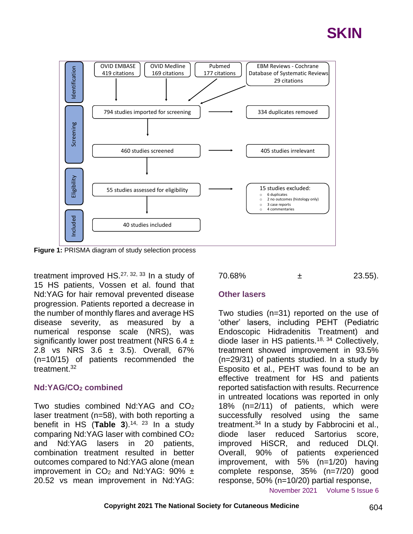



**Figure 1:** PRISMA diagram of study selection process

treatment improved HS.27, 32, 33 In a study of 15 HS patients, Vossen et al. found that Nd:YAG for hair removal prevented disease progression. Patients reported a decrease in the number of monthly flares and average HS disease severity, as measured by a numerical response scale (NRS), was significantly lower post treatment (NRS  $6.4 \pm$ 2.8 vs NRS 3.6 ± 3.5). Overall, 67% (n=10/15) of patients recommended the treatment  $32$ 

#### **Nd:YAG/CO<sup>2</sup> combined**

Two studies combined Nd:  $YAG$  and  $CO<sub>2</sub>$ laser treatment (n=58), with both reporting a benefit in HS (**Table 3**). 14, 23 In a study comparing Nd:YAG laser with combined CO<sup>2</sup> and Nd:YAG lasers in 20 patients, combination treatment resulted in better outcomes compared to Nd:YAG alone (mean improvement in  $CO<sub>2</sub>$  and Nd:YAG: 90%  $\pm$ 20.52 vs mean improvement in Nd:YAG:



#### **Other lasers**

Two studies (n=31) reported on the use of 'other' lasers, including PEHT (Pediatric Endoscopic Hidradenitis Treatment) and diode laser in HS patients.18, 34 Collectively, treatment showed improvement in 93.5% (n=29/31) of patients studied. In a study by Esposito et al., PEHT was found to be an effective treatment for HS and patients reported satisfaction with results. Recurrence in untreated locations was reported in only 18% (n=2/11) of patients, which were successfully resolved using the same treatment.<sup>34</sup> In a study by Fabbrocini et al., diode laser reduced Sartorius score, improved HiSCR, and reduced DLQI. Overall, 90% of patients experienced improvement, with 5% (n=1/20) having complete response, 35% (n=7/20) good response, 50% (n=10/20) partial response,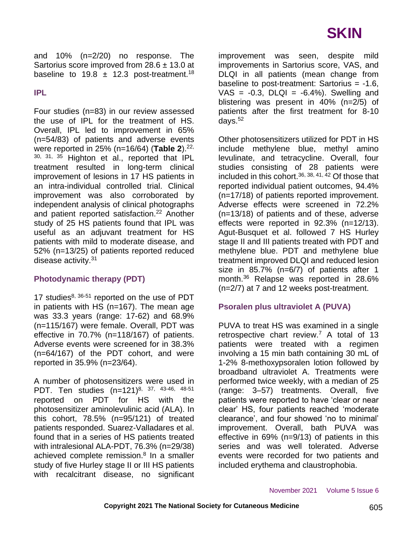and 10% (n=2/20) no response. The Sartorius score improved from  $28.6 \pm 13.0$  at baseline to 19.8  $\pm$  12.3 post-treatment.<sup>18</sup>

**IPL**

Four studies (n=83) in our review assessed the use of IPL for the treatment of HS. Overall, IPL led to improvement in 65% (n=54/83) of patients and adverse events were reported in 25% (n=16/64) (**Table 2**). 22, 30, 31, 35 Highton et al., reported that IPL treatment resulted in long-term clinical improvement of lesions in 17 HS patients in an intra-individual controlled trial. Clinical improvement was also corroborated by independent analysis of clinical photographs and patient reported satisfaction.<sup>22</sup> Another study of 25 HS patients found that IPL was useful as an adjuvant treatment for HS patients with mild to moderate disease, and 52% (n=13/25) of patients reported reduced disease activity.<sup>31</sup>

#### **Photodynamic therapy (PDT)**

17 studies<sup>8, 36-51</sup> reported on the use of PDT in patients with HS (n=167). The mean age was 33.3 years (range: 17-62) and 68.9% (n=115/167) were female. Overall, PDT was effective in 70.7% (n=118/167) of patients. Adverse events were screened for in 38.3% (n=64/167) of the PDT cohort, and were reported in 35.9% (n=23/64).

A number of photosensitizers were used in PDT. Ten studies (n=121)<sup>8, 37, 43-46, 48-51</sup> reported on PDT for HS with the photosensitizer aminolevulinic acid (ALA). In this cohort, 78.5% (n=95/121) of treated patients responded. Suarez-Valladares et al. found that in a series of HS patients treated with intralesional ALA-PDT, 76.3% (n=29/38) achieved complete remission.<sup>8</sup> In a smaller study of five Hurley stage II or III HS patients with recalcitrant disease, no significant improvement was seen, despite mild improvements in Sartorius score, VAS, and DLQI in all patients (mean change from baseline to post-treatment: Sartorius  $= -1.6$ ,  $VAS = -0.3$ ,  $DLQI = -6.4%$ ). Swelling and blistering was present in 40% (n=2/5) of patients after the first treatment for 8-10 days. $52$ 

Other photosensitizers utilized for PDT in HS include methylene blue, methyl amino levulinate, and tetracycline. Overall, four studies consisting of 28 patients were included in this cohort.  $36, 38, 41, 42$  Of those that reported individual patient outcomes, 94.4% (n=17/18) of patients reported improvement. Adverse effects were screened in 72.2% (n=13/18) of patients and of these, adverse effects were reported in 92.3% (n=12/13). Agut-Busquet et al. followed 7 HS Hurley stage II and III patients treated with PDT and methylene blue. PDT and methylene blue treatment improved DLQI and reduced lesion size in 85.7% (n=6/7) of patients after 1 month.<sup>36</sup> Relapse was reported in 28.6% (n=2/7) at 7 and 12 weeks post-treatment.

#### **Psoralen plus ultraviolet A (PUVA)**

PUVA to treat HS was examined in a single retrospective chart review.<sup>7</sup> A total of 13 patients were treated with a regimen involving a 15 min bath containing 30 mL of 1-2% 8-methoxypsoralen lotion followed by broadband ultraviolet A. Treatments were performed twice weekly, with a median of 25 (range: 3–57) treatments. Overall, five patients were reported to have 'clear or near clear' HS, four patients reached 'moderate clearance', and four showed 'no to minimal' improvement. Overall, bath PUVA was effective in 69% (n=9/13) of patients in this series and was well tolerated. Adverse events were recorded for two patients and included erythema and claustrophobia.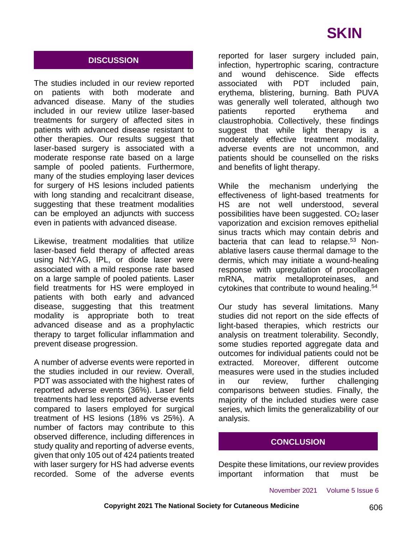#### **DISCUSSION**

The studies included in our review reported on patients with both moderate and advanced disease. Many of the studies included in our review utilize laser-based treatments for surgery of affected sites in patients with advanced disease resistant to other therapies. Our results suggest that laser-based surgery is associated with a moderate response rate based on a large sample of pooled patients. Furthermore, many of the studies employing laser devices for surgery of HS lesions included patients with long standing and recalcitrant disease, suggesting that these treatment modalities can be employed an adjuncts with success even in patients with advanced disease.

Likewise, treatment modalities that utilize laser-based field therapy of affected areas using Nd:YAG, IPL, or diode laser were associated with a mild response rate based on a large sample of pooled patients. Laser field treatments for HS were employed in patients with both early and advanced disease, suggesting that this treatment modality is appropriate both to treat advanced disease and as a prophylactic therapy to target follicular inflammation and prevent disease progression.

A number of adverse events were reported in the studies included in our review. Overall, PDT was associated with the highest rates of reported adverse events (36%). Laser field treatments had less reported adverse events compared to lasers employed for surgical treatment of HS lesions (18% vs 25%). A number of factors may contribute to this observed difference, including differences in study quality and reporting of adverse events, given that only 105 out of 424 patients treated with laser surgery for HS had adverse events recorded. Some of the adverse events

reported for laser surgery included pain, infection, hypertrophic scaring, contracture and wound dehiscence. Side effects associated with PDT included pain, erythema, blistering, burning. Bath PUVA was generally well tolerated, although two patients reported erythema and claustrophobia. Collectively, these findings suggest that while light therapy is a moderately effective treatment modality, adverse events are not uncommon, and patients should be counselled on the risks and benefits of light therapy.

While the mechanism underlying the effectiveness of light-based treatments for HS are not well understood, several possibilities have been suggested. CO2 laser vaporization and excision removes epithelial sinus tracts which may contain debris and bacteria that can lead to relapse.<sup>53</sup> Nonablative lasers cause thermal damage to the dermis, which may initiate a wound-healing response with upregulation of procollagen mRNA, matrix metalloproteinases, and cytokines that contribute to wound healing.<sup>54</sup>

Our study has several limitations. Many studies did not report on the side effects of light-based therapies, which restricts our analysis on treatment tolerability. Secondly, some studies reported aggregate data and outcomes for individual patients could not be extracted. Moreover, different outcome measures were used in the studies included in our review, further challenging comparisons between studies. Finally, the majority of the included studies were case series, which limits the generalizability of our analysis.

#### **CONCLUSION**

Despite these limitations, our review provides important information that must be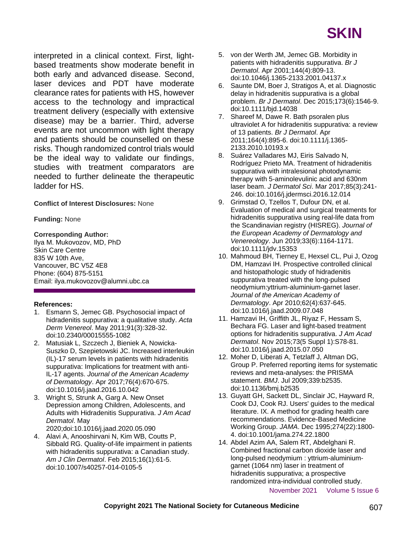

interpreted in a clinical context. First, lightbased treatments show moderate benefit in both early and advanced disease. Second, laser devices and PDT have moderate clearance rates for patients with HS, however access to the technology and impractical treatment delivery (especially with extensive disease) may be a barrier. Third, adverse events are not uncommon with light therapy and patients should be counselled on these risks. Though randomized control trials would be the ideal way to validate our findings, studies with treatment comparators are needed to further delineate the therapeutic ladder for HS.

**Conflict of Interest Disclosures:** None

**Funding:** None

#### **Corresponding Author:**

Ilya M. Mukovozov, MD, PhD Skin Care Centre 835 W 10th Ave, Vancouver, BC V5Z 4E8 Phone: (604) 875-5151 Email: ilya.mukovozov@alumni.ubc.ca

#### **References:**

- 1. Esmann S, Jemec GB. Psychosocial impact of hidradenitis suppurativa: a qualitative study. *Acta Derm Venereol*. May 2011;91(3):328-32. doi:10.2340/00015555-1082
- 2. Matusiak L, Szczech J, Bieniek A, Nowicka-Suszko D, Szepietowski JC. Increased interleukin (IL)-17 serum levels in patients with hidradenitis suppurativa: Implications for treatment with anti-IL-17 agents. *Journal of the American Academy of Dermatology*. Apr 2017;76(4):670-675. doi:10.1016/j.jaad.2016.10.042
- 3. Wright S, Strunk A, Garg A. New Onset Depression among Children, Adolescents, and Adults with Hidradenitis Suppurativa. *J Am Acad Dermatol*. May
	- 2020;doi:10.1016/j.jaad.2020.05.090
- 4. Alavi A, Anooshirvani N, Kim WB, Coutts P, Sibbald RG. Quality-of-life impairment in patients with hidradenitis suppurativa: a Canadian study. *Am J Clin Dermatol*. Feb 2015;16(1):61-5. doi:10.1007/s40257-014-0105-5
- 5. von der Werth JM, Jemec GB. Morbidity in patients with hidradenitis suppurativa. *Br J Dermatol*. Apr 2001;144(4):809-13. doi:10.1046/j.1365-2133.2001.04137.x
- 6. Saunte DM, Boer J, Stratigos A, et al. Diagnostic delay in hidradenitis suppurativa is a global problem. *Br J Dermatol*. Dec 2015;173(6):1546-9. doi:10.1111/bjd.14038
- 7. Shareef M, Dawe R. Bath psoralen plus ultraviolet A for hidradenitis suppurativa: a review of 13 patients. *Br J Dermatol*. Apr 2011;164(4):895-6. doi:10.1111/j.1365- 2133.2010.10193.x
- 8. Suárez Valladares MJ, Eiris Salvado N, Rodríguez Prieto MA. Treatment of hidradenitis suppurativa with intralesional photodynamic therapy with 5-aminolevulinic acid and 630nm laser beam. *J Dermatol Sci*. Mar 2017;85(3):241- 246. doi:10.1016/j.jdermsci.2016.12.014
- 9. Grimstad O, Tzellos T, Dufour DN, et al. Evaluation of medical and surgical treatments for hidradenitis suppurativa using real-life data from the Scandinavian registry (HISREG). *Journal of the European Academy of Dermatology and Venereology*. Jun 2019;33(6):1164-1171. doi:10.1111/jdv.15353
- 10. Mahmoud BH, Tierney E, Hexsel CL, Pui J, Ozog DM, Hamzavi IH. Prospective controlled clinical and histopathologic study of hidradenitis suppurativa treated with the long-pulsed neodymium:yttrium-aluminium-garnet laser. *Journal of the American Academy of Dermatology*. Apr 2010;62(4):637-645. doi:10.1016/j.jaad.2009.07.048
- 11. Hamzavi IH, Griffith JL, Riyaz F, Hessam S, Bechara FG. Laser and light-based treatment options for hidradenitis suppurativa. *J Am Acad Dermatol*. Nov 2015;73(5 Suppl 1):S78-81. doi:10.1016/j.jaad.2015.07.050
- 12. Moher D, Liberati A, Tetzlaff J, Altman DG, Group P. Preferred reporting items for systematic reviews and meta-analyses: the PRISMA statement. *BMJ*. Jul 2009;339:b2535. doi:10.1136/bmj.b2535
- 13. Guyatt GH, Sackett DL, Sinclair JC, Hayward R, Cook DJ, Cook RJ. Users' guides to the medical literature. IX. A method for grading health care recommendations. Evidence-Based Medicine Working Group. *JAMA*. Dec 1995;274(22):1800- 4. doi:10.1001/jama.274.22.1800
- 14. Abdel Azim AA, Salem RT, Abdelghani R. Combined fractional carbon dioxide laser and long-pulsed neodymium : yttrium-aluminiumgarnet (1064 nm) laser in treatment of hidradenitis suppurativa; a prospective randomized intra-individual controlled study.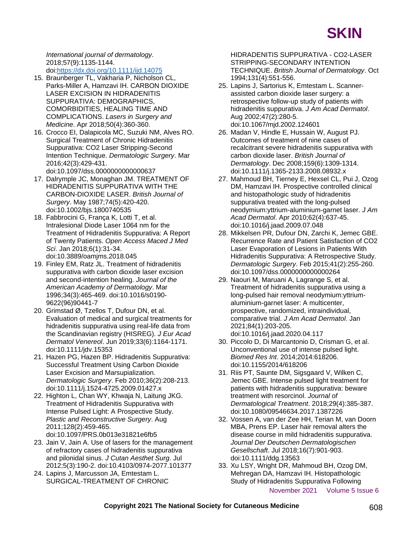

*International journal of dermatology*. 2018;57(9):1135-1144. doi[:https://dx.doi.org/10.1111/ijd.14075](https://dx.doi.org/10.1111/ijd.14075)

- 15. Braunberger TL, Vakharia P, Nicholson CL, Parks-Miller A, Hamzavi IH. CARBON DIOXIDE LASER EXCISION IN HIDRADENITIS SUPPURATIVA: DEMOGRAPHICS, COMORBIDITIES, HEALING TIME AND COMPLICATIONS. *Lasers in Surgery and Medicine*. Apr 2018;50(4):360-360.
- 16. Crocco EI, Dalapicola MC, Suzuki NM, Alves RO. Surgical Treatment of Chronic Hidradenitis Suppurativa: CO2 Laser Stripping-Second Intention Technique. *Dermatologic Surgery*. Mar 2016;42(3):429-431. doi:10.1097/dss.0000000000000637
- 17. Dalrymple JC, Monaghan JM. TREATMENT OF HIDRADENITIS SUPPURATIVA WITH THE CARBON-DIOXIDE LASER. *British Journal of Surgery*. May 1987;74(5):420-420. doi:10.1002/bjs.1800740535
- 18. Fabbrocini G, França K, Lotti T, et al. Intralesional Diode Laser 1064 nm for the Treatment of Hidradenitis Suppurativa: A Report of Twenty Patients. *Open Access Maced J Med Sci*. Jan 2018;6(1):31-34. doi:10.3889/oamjms.2018.045
- 19. Finley EM, Ratz JL. Treatment of hidradenitis suppurativa with carbon dioxide laser excision and second-intention healing. *Journal of the American Academy of Dermatology*. Mar 1996;34(3):465-469. doi:10.1016/s0190- 9622(96)90441-7
- 20. Grimstad Ø, Tzellos T, Dufour DN, et al. Evaluation of medical and surgical treatments for hidradenitis suppurativa using real-life data from the Scandinavian registry (HISREG). *J Eur Acad Dermatol Venereol*. Jun 2019;33(6):1164-1171. doi:10.1111/jdv.15353
- 21. Hazen PG, Hazen BP. Hidradenitis Suppurativa: Successful Treatment Using Carbon Dioxide Laser Excision and Marsupialization. *Dermatologic Surgery*. Feb 2010;36(2):208-213. doi:10.1111/j.1524-4725.2009.01427.x
- 22. Highton L, Chan WY, Khwaja N, Laitung JKG. Treatment of Hidradenitis Suppurativa with Intense Pulsed Light: A Prospective Study. *Plastic and Reconstructive Surgery*. Aug 2011;128(2):459-465. doi:10.1097/PRS.0b013e31821e6fb5
- 23. Jain V, Jain A. Use of lasers for the management of refractory cases of hidradenitis suppurativa and pilonidal sinus. *J Cutan Aesthet Surg*. Jul 2012;5(3):190-2. doi:10.4103/0974-2077.101377
- 24. Lapins J, Marcusson JA, Emtestam L. SURGICAL-TREATMENT OF CHRONIC

HIDRADENITIS SUPPURATIVA - CO2-LASER STRIPPING-SECONDARY INTENTION TECHNIQUE. *British Journal of Dermatology*. Oct 1994;131(4):551-556.

- 25. Lapins J, Sartorius K, Emtestam L. Scannerassisted carbon dioxide laser surgery: a retrospective follow-up study of patients with hidradenitis suppurativa. *J Am Acad Dermatol*. Aug 2002;47(2):280-5. doi:10.1067/mjd.2002.124601
- 26. Madan V, Hindle E, Hussain W, August PJ. Outcomes of treatment of nine cases of recalcitrant severe hidradenitis suppurativa with carbon dioxide laser. *British Journal of Dermatology*. Dec 2008;159(6):1309-1314. doi:10.1111/j.1365-2133.2008.08932.x
- 27. Mahmoud BH, Tierney E, Hexsel CL, Pui J, Ozog DM, Hamzavi IH. Prospective controlled clinical and histopathologic study of hidradenitis suppurativa treated with the long-pulsed neodymium:yttrium-aluminium-garnet laser. *J Am Acad Dermatol*. Apr 2010;62(4):637-45. doi:10.1016/j.jaad.2009.07.048
- 28. Mikkelsen PR, Dufour DN, Zarchi K, Jemec GBE. Recurrence Rate and Patient Satisfaction of CO2 Laser Evaporation of Lesions in Patients With Hidradenitis Suppurativa: A Retrospective Study. *Dermatologic Surgery*. Feb 2015;41(2):255-260. doi:10.1097/dss.0000000000000264
- 29. Naouri M, Maruani A, Lagrange S, et al. Treatment of hidradenitis suppurativa using a long-pulsed hair removal neodymium:yttriumaluminium-garnet laser: A multicenter, prospective, randomized, intraindividual, comparative trial. *J Am Acad Dermatol*. Jan 2021;84(1):203-205. doi:10.1016/j.jaad.2020.04.117
- 30. Piccolo D, Di Marcantonio D, Crisman G, et al. Unconventional use of intense pulsed light. *Biomed Res Int*. 2014;2014:618206. doi:10.1155/2014/618206
- 31. Riis PT, Saunte DM, Sigsgaard V, Wilken C, Jemec GBE. Intense pulsed light treatment for patients with hidradenitis suppurativa: beware treatment with resorcinol. *Journal of Dermatological Treatment*. 2018;29(4):385-387. doi:10.1080/09546634.2017.1387226
- 32. Vossen A, van der Zee HH, Terian M, van Doorn MBA, Prens EP. Laser hair removal alters the disease course in mild hidradenitis suppurativa. *Journal Der Deutschen Dermatologischen Gesellschaft*. Jul 2018;16(7):901-903. doi:10.1111/ddg.13563
- 33. Xu LSY, Wright DR, Mahmoud BH, Ozog DM, Mehregan DA, Hamzavi IH. Histopathologic Study of Hidradenitis Suppurativa Following
	- November 2021 Volume 5 Issue 6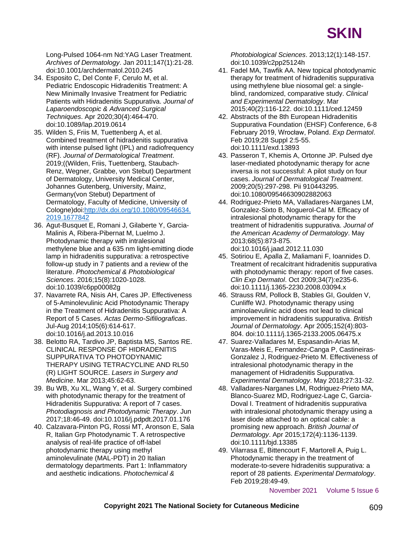

Long-Pulsed 1064-nm Nd:YAG Laser Treatment. *Archives of Dermatology*. Jan 2011;147(1):21-28. doi:10.1001/archdermatol.2010.245

- 34. Esposito C, Del Conte F, Cerulo M, et al. Pediatric Endoscopic Hidradenitis Treatment: A New Minimally Invasive Treatment for Pediatric Patients with Hidradenitis Suppurativa. *Journal of Laparoendoscopic & Advanced Surgical Techniques*. Apr 2020;30(4):464-470. doi:10.1089/lap.2019.0614
- 35. Wilden S, Friis M, Tuettenberg A, et al. Combined treatment of hidradenitis suppurativa with intense pulsed light (IPL) and radiofrequency (RF). *Journal of Dermatological Treatment*. 2019;((Wilden, Friis, Tuettenberg, Staubach-Renz, Wegner, Grabbe, von Stebut) Department of Dermatology, University Medical Center, Johannes Gutenberg, University, Mainz, Germany(von Stebut) Department of Dermatology, Faculty of Medicine, University of Cologne)doi[:http://dx.doi.org/10.1080/09546634.](http://dx.doi.org/10.1080/09546634.2019.1677842) [2019.1677842](http://dx.doi.org/10.1080/09546634.2019.1677842)
- 36. Agut-Busquet E, Romani J, Gilaberte Y, Garcia-Malinis A, Ribera-Pibernat M, Luelmo J. Photodynamic therapy with intralesional methylene blue and a 635 nm light-emitting diode lamp in hidradenitis suppurativa: a retrospective follow-up study in 7 patients and a review of the literature. *Photochemical & Photobiological Sciences*. 2016;15(8):1020-1028. doi:10.1039/c6pp00082g
- 37. Navarrete RA, Nisis AH, Cares JP. Effectiveness of 5-Aminolevulinic Acid Photodynamic Therapy in the Treatment of Hidradenitis Suppurativa: A Report of 5 Cases. *Actas Dermo-Sifiliograficas*. Jul-Aug 2014;105(6):614-617. doi:10.1016/j.ad.2013.10.016
- 38. Belotto RA, Tardivo JP, Baptista MS, Santos RE. CLINICAL RESPONSE OF HIDRADENITIS SUPPURATIVA TO PHOTODYNAMIC THERAPY USING TETRACYCLINE AND RL50 (R) LIGHT SOURCE. *Lasers in Surgery and Medicine*. Mar 2013;45:62-63.
- 39. Bu WB, Xu XL, Wang Y, et al. Surgery combined with photodynamic therapy for the treatment of Hidradenitis Suppurativa: A report of 7 cases. *Photodiagnosis and Photodynamic Therapy*. Jun 2017;18:46-49. doi:10.1016/j.pdpdt.2017.01.176
- 40. Calzavara-Pinton PG, Rossi MT, Aronson E, Sala R, Italian Grp Photodynamic T. A retrospective analysis of real-life practice of off-label photodynamic therapy using methyl aminolevulinate (MAL-PDT) in 20 Italian dermatology departments. Part 1: Inflammatory and aesthetic indications. *Photochemical &*

*Photobiological Sciences*. 2013;12(1):148-157. doi:10.1039/c2pp25124h

- 41. Fadel MA, Tawfik AA. New topical photodynamic therapy for treatment of hidradenitis suppurativa using methylene blue niosomal gel: a singleblind, randomized, comparative study. *Clinical and Experimental Dermatology*. Mar 2015;40(2):116-122. doi:10.1111/ced.12459
- 42. Abstracts of the 8th European Hidradenitis Suppurativa Foundation (EHSF) Conference, 6-8 February 2019, Wrocław, Poland. *Exp Dermatol*. Feb 2019;28 Suppl 2:5-55. doi:10.1111/exd.13893
- 43. Passeron T, Khemis A, Ortonne JP. Pulsed dye laser-mediated photodynamic therapy for acne inversa is not successful: A pilot study on four cases. *Journal of Dermatological Treatment*. 2009;20(5):297-298. Pii 910443295. doi:10.1080/09546630902882063
- 44. Rodriguez-Prieto MA, Valladares-Narganes LM, Gonzalez-Sixto B, Noguerol-Cal M. Efficacy of intralesional photodynamic therapy for the treatment of hidradenitis suppurativa. *Journal of the American Academy of Dermatology*. May 2013;68(5):873-875. doi:10.1016/j.jaad.2012.11.030
- 45. Sotiriou E, Apalla Z, Maliamani F, Ioannides D. Treatment of recalcitrant hidradenitis suppurativa with photodynamic therapy: report of five cases. *Clin Exp Dermatol*. Oct 2009;34(7):e235-6. doi:10.1111/j.1365-2230.2008.03094.x
- 46. Strauss RM, Pollock B, Stables GI, Goulden V, Cunliffe WJ. Photodynamic therapy using aminolaevulinic acid does not lead to clinical improvement in hidradenitis suppurativa. *British Journal of Dermatology*. Apr 2005;152(4):803- 804. doi:10.1111/j.1365-2133.2005.06475.x
- 47. Suarez-Valladares M, Espasandin-Arias M, Varas-Meis E, Fernandez-Canga P, Castineiras-Gonzalez J, Rodriguez-Prieto M. Effectiveness of intralesional photodynamic therapy in the management of Hidradenitis Suppurativa. *Experimental Dermatology*. May 2018;27:31-32.
- 48. Valladares-Narganes LM, Rodriguez-Prieto MA, Blanco-Suarez MD, Rodriguez-Lage C, Garcia-Doval I. Treatment of hidradenitis suppurativa with intralesional photodynamic therapy using a laser diode attached to an optical cable: a promising new approach. *British Journal of Dermatology*. Apr 2015;172(4):1136-1139. doi:10.1111/bjd.13385
- 49. Vilarrasa E, Bittencourt F, Martorell A, Puig L. Photodynamic therapy in the treatment of moderate-to-severe hidradenitis suppurativa: a report of 28 patients. *Experimental Dermatology*. Feb 2019;28:49-49.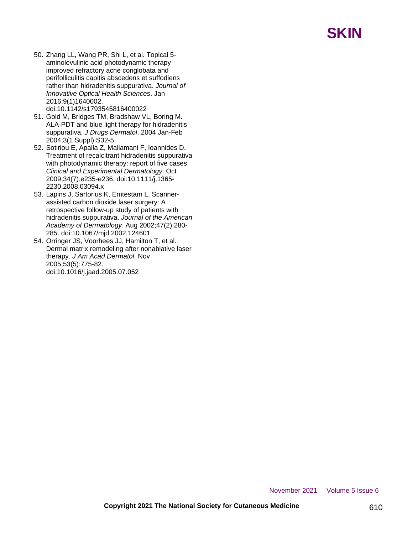- 50. Zhang LL, Wang PR, Shi L, et al. Topical 5 aminolevulinic acid photodynamic therapy improved refractory acne conglobata and perifolliculitis capitis abscedens et suffodiens rather than hidradenitis suppurativa. *Journal of Innovative Optical Health Sciences*. Jan 2016;9(1)1640002. doi:10.1142/s1793545816400022
- 51. Gold M, Bridges TM, Bradshaw VL, Boring M. ALA-PDT and blue light therapy for hidradenitis suppurativa. *J Drugs Dermatol*. 2004 Jan-Feb 2004;3(1 Suppl):S32-5.
- 52. Sotiriou E, Apalla Z, Maliamani F, Ioannides D. Treatment of recalcitrant hidradenitis suppurativa with photodynamic therapy: report of five cases. *Clinical and Experimental Dermatology*. Oct 2009;34(7):e235-e236. doi:10.1111/j.1365- 2230.2008.03094.x
- 53. Lapins J, Sartorius K, Emtestam L. Scannerassisted carbon dioxide laser surgery: A retrospective follow-up study of patients with hidradenitis suppurativa. *Journal of the American Academy of Dermatology*. Aug 2002;47(2):280- 285. doi:10.1067/mjd.2002.124601
- 54. Orringer JS, Voorhees JJ, Hamilton T, et al. Dermal matrix remodeling after nonablative laser therapy. *J Am Acad Dermatol*. Nov 2005;53(5):775-82. doi:10.1016/j.jaad.2005.07.052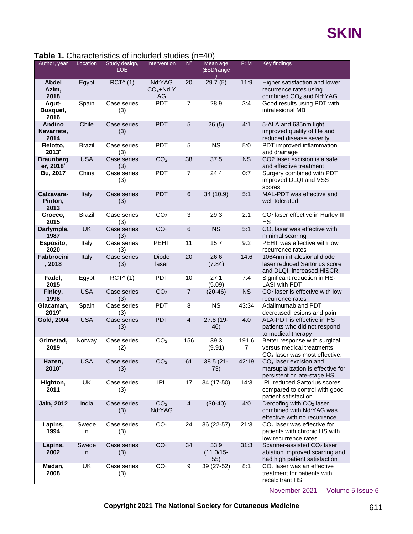#### **Table 1.** Characteristics of included studies (n=40)

| Author, year                        | Location      | $\mu$ . Ondiable is the molded stadies (n=+0)<br>Study design,<br><b>LOE</b> | Intervention               | $N^{\#}$        | Mean age<br>$(\pm SD/r$ ange | F: M       | Key findings                                                                                              |
|-------------------------------------|---------------|------------------------------------------------------------------------------|----------------------------|-----------------|------------------------------|------------|-----------------------------------------------------------------------------------------------------------|
| <b>Abdel</b><br>Azim,<br>2018       | Egypt         | $RCT^{\wedge}$ (1)                                                           | Nd:YAG<br>$CO2+Nd:Y$<br>AG | 20              | 29.7(5)                      | 11:9       | Higher satisfaction and lower<br>recurrence rates using<br>combined CO <sub>2</sub> and Nd:YAG            |
| Agut-<br>Busquet,<br>2016           | Spain         | Case series<br>(3)                                                           | <b>PDT</b>                 | $\overline{7}$  | 28.9                         | 3:4        | Good results using PDT with<br>intralesional MB                                                           |
| <b>Andino</b><br>Navarrete,<br>2014 | Chile         | Case series<br>(3)                                                           | <b>PDT</b>                 | 5               | 26(5)                        | 4:1        | 5-ALA and 635nm light<br>improved quality of life and<br>reduced disease severity                         |
| Belotto,<br>$2013^*$                | <b>Brazil</b> | Case series<br>(3)                                                           | <b>PDT</b>                 | 5               | <b>NS</b>                    | 5:0        | PDT improved inflammation<br>and drainage                                                                 |
| <b>Braunberg</b><br>er, 2018*       | <b>USA</b>    | Case series<br>(3)                                                           | CO <sub>2</sub>            | 38              | 37.5                         | <b>NS</b>  | CO2 laser excision is a safe<br>and effective treatment                                                   |
| Bu, 2017                            | China         | Case series<br>(3)                                                           | <b>PDT</b>                 | $\overline{7}$  | 24.4                         | 0:7        | Surgery combined with PDT<br>improved DLQI and VSS<br>scores                                              |
| Calzavara-<br>Pinton.<br>2013       | Italy         | Case series<br>(3)                                                           | <b>PDT</b>                 | 6               | 34 (10.9)                    | 5:1        | MAL-PDT was effective and<br>well tolerated                                                               |
| Crocco,<br>2015                     | <b>Brazil</b> | Case series<br>(3)                                                           | CO <sub>2</sub>            | 3               | 29.3                         | 2:1        | CO <sub>2</sub> laser effective in Hurley III<br><b>HS</b>                                                |
| Darlymple,<br>1987                  | UK            | Case series<br>(3)                                                           | CO <sub>2</sub>            | $6\phantom{1}6$ | <b>NS</b>                    | 5:1        | CO <sub>2</sub> laser was effective with<br>minimal scarring                                              |
| Esposito,<br>2020                   | Italy         | Case series<br>(3)                                                           | <b>PEHT</b>                | 11              | 15.7                         | 9:2        | PEHT was effective with low<br>recurrence rates                                                           |
| <b>Fabbrocini</b><br>, 2018         | Italy         | Case series<br>(3)                                                           | <b>Diode</b><br>laser      | 20              | 26.6<br>(7.84)               | 14:6       | 1064nm intralesional diode<br>laser reduced Sartorius score<br>and DLQI, increased HiSCR                  |
| Fadel,<br>2015                      | Egypt         | RCT^(1)                                                                      | <b>PDT</b>                 | 10              | 27.1<br>(5.09)               | 7:4        | Significant reduction in HS-<br><b>LASI with PDT</b>                                                      |
| Finley,<br>1996                     | <b>USA</b>    | Case series<br>(3)                                                           | CO <sub>2</sub>            | $\overline{7}$  | $(20-46)$                    | <b>NS</b>  | CO <sub>2</sub> laser is effective with low<br>recurrence rates                                           |
| Giacaman,<br>$2019^{\degree}$       | Spain         | Case series<br>(3)                                                           | <b>PDT</b>                 | 8               | <b>NS</b>                    | 43:34      | Adalimumab and PDT<br>decreased lesions and pain                                                          |
| Gold, 2004                          | <b>USA</b>    | Case series<br>(3)                                                           | <b>PDT</b>                 | $\overline{4}$  | 27.8 (19-<br>46)             | 4:0        | ALA-PDT is effective in HS<br>patients who did not respond<br>to medical therapy                          |
| Grimstad,<br>2019                   | Norway        | Case series<br>(2)                                                           | CO <sub>2</sub>            | 156             | 39.3<br>(9.91)               | 191:6<br>7 | Better response with surgical<br>versus medical treatments.<br>CO <sub>2</sub> laser was most effective.  |
| Hazen,<br>$2010^{\degree}$          | <b>USA</b>    | Case series<br>(3)                                                           | CO <sub>2</sub>            | 61              | 38.5 (21-<br>73)             | 42:19      | $CO2$ laser excision and<br>marsupialization is effective for<br>persistent or late-stage HS              |
| Highton,<br>2011                    | UK            | Case series<br>(3)                                                           | IPL.                       | 17              | 34 (17-50)                   | 14:3       | <b>IPL reduced Sartorius scores</b><br>compared to control with good<br>patient satisfaction              |
| <b>Jain, 2012</b>                   | India         | Case series<br>(3)                                                           | CO <sub>2</sub><br>Nd:YAG  | $\overline{4}$  | $(30-40)$                    | 4:0        | Deroofing with CO <sub>2</sub> laser<br>combined with Nd:YAG was<br>effective with no recurrence          |
| Lapins,<br>1994                     | Swede<br>n    | Case series<br>(3)                                                           | CO <sub>2</sub>            | 24              | 36 (22-57)                   | 21:3       | $CO2$ laser was effective for<br>patients with chronic HS with<br>low recurrence rates                    |
| Lapins,<br>2002                     | Swede<br>n.   | Case series<br>(3)                                                           | CO <sub>2</sub>            | 34              | 33.9<br>$(11.0/15 -$<br>55)  | 31:3       | Scanner-assisted CO <sub>2</sub> laser<br>ablation improved scarring and<br>had high patient satisfaction |
| Madan,<br>2008                      | UK            | Case series<br>(3)                                                           | CO <sub>2</sub>            | 9               | 39 (27-52)                   | 8:1        | $CO2$ laser was an effective<br>treatment for patients with<br>recalcitrant HS                            |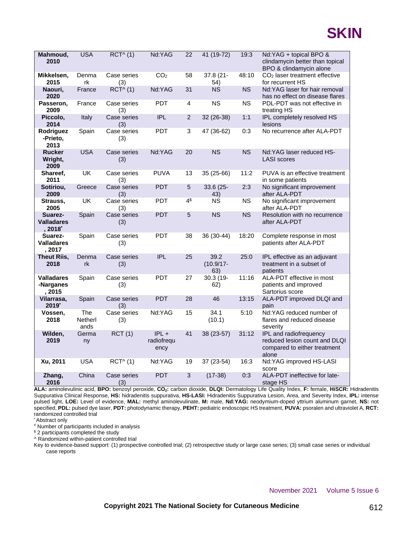

| Mahmoud,<br>2010                         | <b>USA</b>             | RCT^(1)            | Nd:YAG                        | 22             | 41 (19-72)                  | 19:3      | Nd:YAG + topical BPO &<br>clindamycin better than topical<br>BPO & clindamycin alone             |
|------------------------------------------|------------------------|--------------------|-------------------------------|----------------|-----------------------------|-----------|--------------------------------------------------------------------------------------------------|
| Mikkelsen,<br>2015                       | Denma<br>rk            | Case series<br>(3) | CO <sub>2</sub>               | 58             | 37.8 (21-<br>54)            | 48:10     | CO <sub>2</sub> laser treatment effective<br>for recurrent HS                                    |
| Naouri,<br>2020                          | France                 | $RCT^{\wedge} (1)$ | Nd:YAG                        | 31             | <b>NS</b>                   | <b>NS</b> | Nd:YAG laser for hair removal<br>has no effect on disease flares                                 |
| Passeron,<br>2009                        | France                 | Case series<br>(3) | <b>PDT</b>                    | 4              | <b>NS</b>                   | <b>NS</b> | PDL-PDT was not effective in<br>treating HS                                                      |
| Piccolo,<br>2014                         | Italy                  | Case series<br>(3) | <b>IPL</b>                    | $\overline{2}$ | 32 (26-38)                  | 1:1       | IPL completely resolved HS<br>lesions                                                            |
| Rodriguez<br>-Prieto,<br>2013            | Spain                  | Case series<br>(3) | <b>PDT</b>                    | 3              | 47 (36-62)                  | 0:3       | No recurrence after ALA-PDT                                                                      |
| <b>Rucker</b><br>Wright,<br>2009         | <b>USA</b>             | Case series<br>(3) | Nd:YAG                        | 20             | <b>NS</b>                   | <b>NS</b> | Nd:YAG laser reduced HS-<br><b>LASI</b> scores                                                   |
| Shareef,<br>2011                         | UK                     | Case series<br>(3) | <b>PUVA</b>                   | 13             | 35 (25-66)                  | 11:2      | PUVA is an effective treatment<br>in some patients                                               |
| Sotiriou,<br>2009                        | Greece                 | Case series<br>(3) | <b>PDT</b>                    | 5              | 33.6 (25-<br>43)            | 2:3       | No significant improvement<br>after ALA-PDT                                                      |
| Strauss,<br>2005                         | <b>UK</b>              | Case series<br>(3) | <b>PDT</b>                    | 4 <sup>§</sup> | <b>NS</b>                   | <b>NS</b> | No significant improvement<br>after ALA-PDT                                                      |
| Suarez-<br><b>Valladares</b><br>, 2018*  | Spain                  | Case series<br>(3) | <b>PDT</b>                    | 5              | <b>NS</b>                   | <b>NS</b> | Resolution with no recurrence<br>after ALA-PDT                                                   |
| Suarez-<br><b>Valladares</b><br>, 2017   | Spain                  | Case series<br>(3) | PDT                           | 38             | 36 (30-44)                  | 18:20     | Complete response in most<br>patients after ALA-PDT                                              |
| <b>Theut Riis,</b><br>2018               | Denma<br>rk            | Case series<br>(3) | <b>IPL</b>                    | 25             | 39.2<br>$(10.9/17 -$<br>63) | 25:0      | IPL effective as an adjuvant<br>treatment in a subset of<br>patients                             |
| <b>Valladares</b><br>-Narganes<br>, 2015 | Spain                  | Case series<br>(3) | <b>PDT</b>                    | 27             | $30.3(19-$<br>62)           | 11:16     | ALA-PDT effective in most<br>patients and improved<br>Sartorius score                            |
| Vilarrasa,<br>2019*                      | Spain                  | Case series<br>(3) | <b>PDT</b>                    | 28             | 46                          | 13:15     | ALA-PDT improved DLQI and<br>pain                                                                |
| Vossen,<br>2018                          | The<br>Netherl<br>ands | Case series<br>(3) | Nd:YAG                        | 15             | 34.1<br>(10.1)              | 5:10      | Nd:YAG reduced number of<br>flares and reduced disease<br>severity                               |
| Wilden,<br>2019                          | Germa<br>ny            | RCT(1)             | $IPL +$<br>radiofrequ<br>ency | 41             | 38 (23-57)                  | 31:12     | IPL and radiofrequency<br>reduced lesion count and DLQI<br>compared to either treatment<br>alone |
| Xu, 2011                                 | <b>USA</b>             | RCT^(1)            | Nd:YAG                        | 19             | 37 (23-54)                  | 16:3      | Nd:YAG improved HS-LASI<br>score                                                                 |
| Zhang,<br>2016                           | China                  | Case series<br>(3) | <b>PDT</b>                    | 3              | $(17-38)$                   | 0:3       | ALA-PDT ineffective for late-<br>stage HS                                                        |

**ALA:** aminolevulinic acid, **BPO:** benzoyl peroxide, **CO2:** carbon dioxide, **DLQI:** Dermatology Life Quality Index, **F:** female, **HiSCR:** Hidradenitis Suppurativa Clinical Response, **HS:** hidradenitis suppurativa, **HS-LASI:** Hidradenitis Suppurativa Lesion, Area, and Severity Index, **IPL:** intense pulsed light, **LOE:** Level of evidence, **MAL:** methyl aminolevulinate, **M:** male, **Nd:YAG:** neodymium-doped yttrium aluminum garnet, **NS:** not specified, **PDL:** pulsed dye laser, **PDT:** photodynamic therapy, **PEHT:** pediatric endoscopic HS treatment, **PUVA:** psoralen and ultraviolet A, **RCT:** randomized controlled trial

**Abstract only** 

# Number of participants included in analysis

\$2 participants completed the study

^ Randomized within-patient controlled trial

Key to evidence-based support: (1) prospective controlled trial; (2) retrospective study or large case series; (3) small case series or individual case reports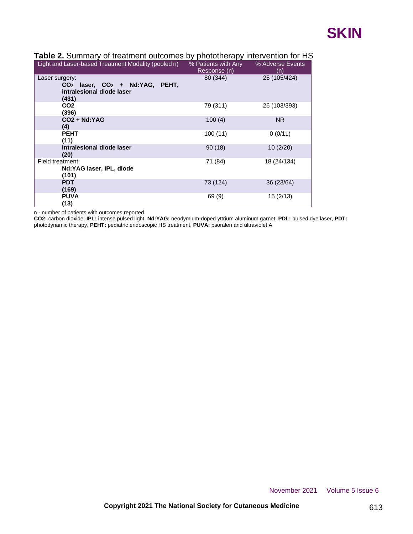| Table 2. Summary of treatment outcomes by phototherapy intervention for HS      |  |  |                  |  |
|---------------------------------------------------------------------------------|--|--|------------------|--|
| <u>Light and Laser-based Treatment Modality (pooled n) so Patients with Any</u> |  |  | % Adverse Events |  |

| Light and Laser-based Treatment Modality (pooled n)                                        | % Patients with Any<br>Response (n) | % Adverse Events<br>(n) |
|--------------------------------------------------------------------------------------------|-------------------------------------|-------------------------|
| Laser surgery:<br>$CO2$ laser, $CO2$ + Nd:YAG, PEHT,<br>intralesional diode laser<br>(431) | 80 (344)                            | 25 (105/424)            |
| CO <sub>2</sub><br>(396)                                                                   | 79 (311)                            | 26 (103/393)            |
| $CO2 + Nd:YAG$<br>(4)                                                                      | 100(4)                              | <b>NR</b>               |
| <b>PEHT</b><br>(11)                                                                        | 100(11)                             | 0(0/11)                 |
| Intralesional diode laser<br>(20)                                                          | 90(18)                              | 10(2/20)                |
| Field treatment:<br>Nd:YAG laser, IPL, diode<br>(101)                                      | 71 (84)                             | 18 (24/134)             |
| <b>PDT</b><br>(169)                                                                        | 73 (124)                            | 36 (23/64)              |
| <b>PUVA</b><br>(13)                                                                        | 69 (9)                              | 15(2/13)                |

n - number of patients with outcomes reported

**CO2:** carbon dioxide, **IPL:** intense pulsed light, **Nd:YAG:** neodymium-doped yttrium aluminum garnet, **PDL:** pulsed dye laser, **PDT:** photodynamic therapy, **PEHT:** pediatric endoscopic HS treatment, **PUVA:** psoralen and ultraviolet A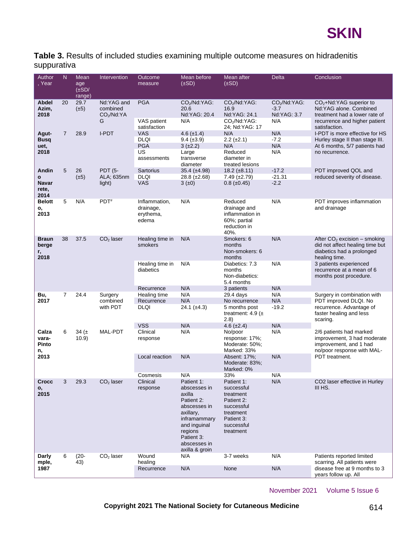

**Table 3.** Results of included studies examining multiple outcome measures on hidradenitis suppurativa

| Author<br>, Year                     | N              | Mean<br>age<br>$(\pm SD/$<br>range) | Intervention                                 | Outcome<br>measure                                           | Mean before<br>$(\pm SD)$                                                                                                                                                  | Mean after<br>$(\pm SD)$                                                                                                | <b>Delta</b>                                    | Conclusion                                                                                                                                                                                       |
|--------------------------------------|----------------|-------------------------------------|----------------------------------------------|--------------------------------------------------------------|----------------------------------------------------------------------------------------------------------------------------------------------------------------------------|-------------------------------------------------------------------------------------------------------------------------|-------------------------------------------------|--------------------------------------------------------------------------------------------------------------------------------------------------------------------------------------------------|
| <b>Abdel</b><br>Azim,<br>2018        | 20             | 29.7<br>$(\pm 5)$                   | Nd:YAG and<br>combined<br>$CO2/Nd$ : YA<br>G | <b>PGA</b><br>VAS patient<br>satisfaction                    | $CO2/Nd$ : YAG:<br>20.6<br>Nd:YAG: 20.4<br>N/A                                                                                                                             | $CO2/Nd$ : YAG:<br>16.9<br>Nd:YAG: 24.1<br>CO <sub>2</sub> /Nd:YAG:<br>24; Nd:YAG: 17                                   | $CO2/Nd$ : YAG:<br>$-3.7$<br>Nd:YAG: 3.7<br>N/A | $CO2+Nd:YAG superior to$<br>Nd:YAG alone. Combined<br>treatment had a lower rate of<br>recurrence and higher patient<br>satisfaction.                                                            |
| Agut-<br><b>Busq</b><br>uet,<br>2018 | $\overline{7}$ | 28.9                                | I-PDT                                        | <b>VAS</b><br><b>DLQI</b><br><b>PGA</b><br>US<br>assessments | 4.6 $(\pm 1.4)$<br>$9.4 (\pm 3.9)$<br>$3 (+2.2)$<br>Large<br>transverse<br>diameter                                                                                        | N/A<br>$2.2 \ (\pm 2.1)$<br>N/A<br>Reduced<br>diameter in<br>treated lesions                                            | N/A<br>$-7.2$<br>N/A<br>N/A                     | I-PDT is more effective for HS<br>Hurley stage II than stage III.<br>At 6 months, 5/7 patients had<br>no recurrence.                                                                             |
| Andin<br>o<br>Navar<br>rete,<br>2014 | 5              | 26<br>$(\pm 5)$                     | <b>PDT (5-</b><br>ALA; 635nm<br>light)       | Sartorius<br><b>DLQI</b><br><b>VAS</b>                       | 35.4 $(\pm 4.98)$<br>$28.8 (\pm 2.68)$<br>3(±0)                                                                                                                            | $18.2 \ (\pm 8.11)$<br>$7.49 \ (\pm 2.79)$<br>$0.8 (\pm 0.45)$                                                          | $-17.2$<br>$-21.31$<br>$-2.2$                   | PDT improved QOL and<br>reduced severity of disease.                                                                                                                                             |
| <b>Belott</b><br>ο,<br>2013          | 5              | N/A                                 | PDT <sup>#</sup>                             | Inflammation,<br>drainage,<br>erythema,<br>edema             | N/A                                                                                                                                                                        | Reduced<br>drainage and<br>inflammation in<br>60%; partial<br>reduction in<br>40%.                                      | N/A                                             | PDT improves inflammation<br>and drainage                                                                                                                                                        |
| <b>Braun</b><br>berge<br>r,<br>2018  | 38             | 37.5                                | $CO2$ laser                                  | Healing time in<br>smokers<br>Healing time in<br>diabetics   | N/A<br>N/A                                                                                                                                                                 | Smokers: 6<br>months<br>Non-smokers: 6<br>months<br>Diabetics: 7.3<br>months<br>Non-diabetics:                          | N/A<br>N/A                                      | After $CO2$ excision – smoking<br>did not affect healing time but<br>diabetics had a prolonged<br>healing time.<br>3 patients experienced<br>recurrence at a mean of 6<br>months post procedure. |
| Bu,<br>2017                          | $\overline{7}$ | 24.4                                | Surgery<br>combined<br>with PDT              | Recurrence<br>Healing time<br>Recurrence<br><b>DLQI</b>      | N/A<br>N/A<br>N/A<br>24.1 $(\pm 4.3)$                                                                                                                                      | 5.4 months<br>3 patients<br>29.4 days<br>No recurrence<br>5 months post<br>treatment: 4.9 $(\pm$                        | N/A<br>N/A<br>N/A<br>$-19.2$                    | Surgery in combination with<br>PDT improved DLQI. No<br>recurrence. Advantage of<br>faster healing and less                                                                                      |
| Calza<br>vara-<br>Pinto<br>n,        | 6              | 34 $(\pm$<br>10.9)                  | MAL-PDT                                      | <b>VSS</b><br>Clinical<br>response                           | N/A<br>N/A                                                                                                                                                                 | (2.8)<br>$4.6 (\pm 2.4)$<br>No/poor<br>response: 17%;<br>Moderate: 50%;<br>Marked: 33%                                  | N/A<br>N/A                                      | scaring.<br>2/6 patients had marked<br>improvement, 3 had moderate<br>improvement, and 1 had<br>no/poor response with MAL-                                                                       |
| 2013                                 |                |                                     |                                              | Local reaction<br>Cosmesis                                   | N/A<br>N/A                                                                                                                                                                 | Absent: 17%;<br>Moderate: 83%;<br>Marked: 0%<br>33%                                                                     | N/A<br>N/A                                      | PDT treatment.                                                                                                                                                                                   |
| Crocc<br>о,<br>2015                  | 3              | 29.3                                | $CO2$ laser                                  | Clinical<br>response                                         | Patient 1:<br>abscesses in<br>axilla<br>Patient 2:<br>abscesses in<br>axillary,<br>inframammary<br>and inguinal<br>regions<br>Patient 3:<br>abscesses in<br>axilla & groin | Patient 1:<br>successful<br>treatment<br>Patient 2:<br>successful<br>treatment<br>Patient 3:<br>successful<br>treatment | N/A                                             | CO <sub>2</sub> laser effective in Hurley<br>III HS.                                                                                                                                             |
| Darly<br>mple,<br>1987               | 6              | $(20 -$<br>43)                      | $CO2$ laser                                  | Wound<br>healing<br>Recurrence                               | N/A<br>N/A                                                                                                                                                                 | 3-7 weeks<br>None                                                                                                       | N/A<br>N/A                                      | Patients reported limited<br>scarring. All patients were<br>disease free at 9 months to 3<br>years follow up. All                                                                                |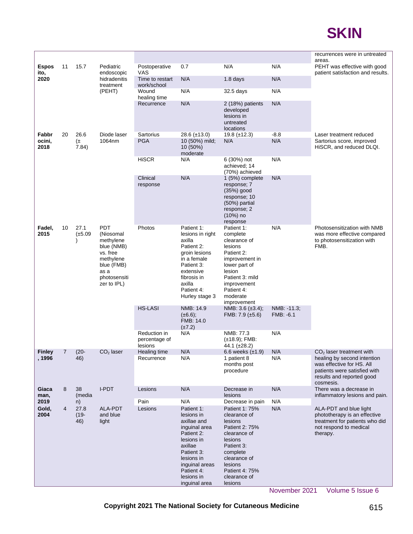

|                      |                            |                                                                                                                                  |                              |                                                                                                                                                                            |                                                                                                                                                                                            |                                                                                                                                                                                          |                                                                                                  | recurrences were in untreated                                                                                                      |
|----------------------|----------------------------|----------------------------------------------------------------------------------------------------------------------------------|------------------------------|----------------------------------------------------------------------------------------------------------------------------------------------------------------------------|--------------------------------------------------------------------------------------------------------------------------------------------------------------------------------------------|------------------------------------------------------------------------------------------------------------------------------------------------------------------------------------------|--------------------------------------------------------------------------------------------------|------------------------------------------------------------------------------------------------------------------------------------|
| <b>Espos</b><br>ito, | 11                         | 15.7                                                                                                                             | Pediatric<br>endoscopic      | Postoperative<br>VAS                                                                                                                                                       | 0.7                                                                                                                                                                                        | N/A                                                                                                                                                                                      | N/A                                                                                              | areas.<br>PEHT was effective with good<br>patient satisfaction and results.                                                        |
| 2020                 |                            |                                                                                                                                  | hidradenitis<br>treatment    | Time to restart<br>work/school                                                                                                                                             | N/A                                                                                                                                                                                        | $1.8$ days                                                                                                                                                                               | N/A                                                                                              |                                                                                                                                    |
|                      |                            |                                                                                                                                  | (PEHT)                       | Wound<br>healing time                                                                                                                                                      | N/A                                                                                                                                                                                        | 32.5 days                                                                                                                                                                                | N/A                                                                                              |                                                                                                                                    |
|                      |                            |                                                                                                                                  |                              | Recurrence                                                                                                                                                                 | N/A                                                                                                                                                                                        | $2(18%)$ patients<br>developed<br>lesions in<br>untreated<br>locations                                                                                                                   | N/A                                                                                              |                                                                                                                                    |
| Fabbr                | 20                         | 26.6                                                                                                                             | Diode laser                  | Sartorius                                                                                                                                                                  | $28.6 (\pm 13.0)$                                                                                                                                                                          | $19.8 (\pm 12.3)$                                                                                                                                                                        | $-8.8$                                                                                           | Laser treatment reduced                                                                                                            |
| ocini,<br>2018       |                            | $(\pm$<br>7.84)                                                                                                                  | 1064nm                       | <b>PGA</b>                                                                                                                                                                 | 10 (50%) mild;<br>10 (50%)<br>moderate                                                                                                                                                     | N/A                                                                                                                                                                                      | N/A                                                                                              | Sartorius score, improved<br>HiSCR, and reduced DLQI.                                                                              |
|                      |                            |                                                                                                                                  |                              | <b>HiSCR</b>                                                                                                                                                               | N/A                                                                                                                                                                                        | 6 (30%) not<br>achieved; 14<br>(70%) achieved                                                                                                                                            | N/A                                                                                              |                                                                                                                                    |
|                      |                            |                                                                                                                                  |                              | Clinical                                                                                                                                                                   | N/A                                                                                                                                                                                        | 1 (5%) complete                                                                                                                                                                          | N/A                                                                                              |                                                                                                                                    |
|                      |                            |                                                                                                                                  |                              | response                                                                                                                                                                   |                                                                                                                                                                                            | response; 7<br>(35%) good<br>response; 10<br>(50%) partial<br>response; 2<br>$(10%)$ no<br>response                                                                                      |                                                                                                  |                                                                                                                                    |
| Fadel,<br>2015       | 10<br>27.1<br>$(\pm 5.09)$ | <b>PDT</b><br>(Niosomal<br>methylene<br>blue (NMB)<br>vs. free<br>methylene<br>blue (FMB)<br>as a<br>photosensiti<br>zer to IPL) | Photos                       | Patient 1:<br>lesions in right<br>axilla<br>Patient 2:<br>groin lesions<br>in a female<br>Patient 3:<br>extensive<br>fibrosis in<br>axilla<br>Patient 4:<br>Hurley stage 3 | Patient 1:<br>complete<br>clearance of<br>lesions<br>Patient 2:<br>improvement in<br>lower part of<br>lesion<br>Patient 3: mild<br>improvement<br>Patient 4:<br>moderate<br>improvement    | N/A                                                                                                                                                                                      | Photosensitization with NMB<br>was more effective compared<br>to photosensitization with<br>FMB. |                                                                                                                                    |
|                      |                            |                                                                                                                                  |                              | <b>HS-LASI</b>                                                                                                                                                             | NMB: 14.9<br>$(\pm 6.6);$<br>FMB: 14.0<br>$(\pm 7.2)$                                                                                                                                      | NMB: $3.6 \ (\pm 3.4)$ ;<br>FMB: $7.9 \ (\pm 5.6)$                                                                                                                                       | NMB: -11.3;<br>FMB: -6.1                                                                         |                                                                                                                                    |
|                      |                            |                                                                                                                                  |                              | Reduction in<br>percentage of<br>lesions                                                                                                                                   | N/A                                                                                                                                                                                        | NMB: 77.3<br>$(\pm 18.9)$ ; FMB:<br>44.1 (±28.2)                                                                                                                                         | N/A                                                                                              |                                                                                                                                    |
| <b>Finley</b>        |                            | $(20 -$                                                                                                                          | $CO2$ laser                  | Healing time                                                                                                                                                               | N/A                                                                                                                                                                                        | 6.6 weeks $(\pm 1.9)$                                                                                                                                                                    | N/A                                                                                              | $CO2$ laser treatment with                                                                                                         |
| , 1996               |                            | 46)                                                                                                                              |                              | Recurrence                                                                                                                                                                 | N/A                                                                                                                                                                                        | 1 patient 8<br>months post<br>procedure                                                                                                                                                  | N/A                                                                                              | healing by second intention<br>was effective for HS. All<br>patients were satisfied with<br>results and reported good<br>cosmesis. |
| Giaca<br>man,        | 8                          | 38<br>(media                                                                                                                     | I-PDT                        | Lesions                                                                                                                                                                    | N/A                                                                                                                                                                                        | Decrease in<br>lesions                                                                                                                                                                   | N/A                                                                                              | There was a decrease in<br>inflammatory lesions and pain.                                                                          |
| 2019                 |                            | n)                                                                                                                               |                              | Pain                                                                                                                                                                       | N/A                                                                                                                                                                                        | Decrease in pain                                                                                                                                                                         | N/A                                                                                              |                                                                                                                                    |
| Gold,<br>2004        | $\overline{4}$             | 27.8<br>$(19 -$<br>46)                                                                                                           | ALA-PDT<br>and blue<br>light | Lesions                                                                                                                                                                    | Patient 1:<br>lesions in<br>axillae and<br>inguinal area<br>Patient 2:<br>lesions in<br>axillae<br>Patient 3:<br>lesions in<br>inguinal areas<br>Patient 4:<br>lesions in<br>inguinal area | Patient 1: 75%<br>clearance of<br>lesions<br>Patient 2: 75%<br>clearance of<br>lesions<br>Patient 3:<br>complete<br>clearance of<br>lesions<br>Patient 4: 75%<br>clearance of<br>lesions | N/A                                                                                              | ALA-PDT and blue light<br>phototherapy is an effective<br>treatment for patients who did<br>not respond to medical<br>therapy.     |
|                      |                            |                                                                                                                                  |                              |                                                                                                                                                                            |                                                                                                                                                                                            |                                                                                                                                                                                          |                                                                                                  |                                                                                                                                    |

**Copyright 2021 The National Society for Cutaneous Medicine** 615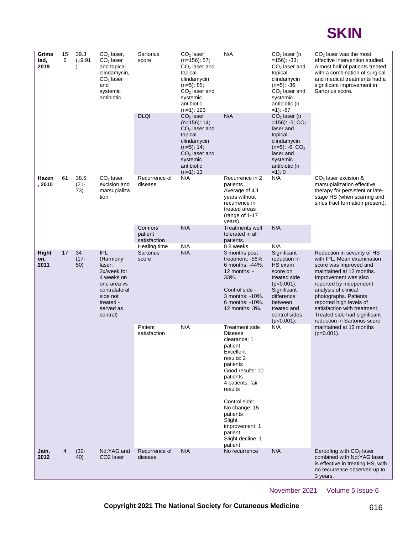

| 39.3<br>Grims<br>15<br>6<br>tad,<br>$(\pm 9.91)$<br>2019 |                            | $CO2$ laser,<br>$CO2$ laser<br>and topical<br>clindamycin,<br>$CO2$ laser<br>and<br>systemic<br>antibiotic |                                                                                                                                          | Sartorius<br>score                                                                                                                                                       | $CO2$ laser<br>$(n=156): 57;$<br>$CO2$ laser and<br>topical<br>clindamycin<br>$(n=5): 85;$<br>$CO2$ laser and<br>systemic<br>antibiotic<br>(n=1): 123 | N/A                                                                                                                                                                 | $CO2$ laser (n<br>$=156$ : $-33$ ;<br>$CO2$ laser and<br>topical<br>clindamycin<br>$(n=5)$ : -36;<br>$CO2$ laser and<br>systemic<br>antibiotic (n<br>$=1$ : $-87$                   | $CO2$ laser was the most<br>effective intervention studied.<br>Almost half of patients treated<br>with a combination of surgical<br>and medical treatments had a<br>significant improvement in<br>Sartorius score.                                                                                                                             |
|----------------------------------------------------------|----------------------------|------------------------------------------------------------------------------------------------------------|------------------------------------------------------------------------------------------------------------------------------------------|--------------------------------------------------------------------------------------------------------------------------------------------------------------------------|-------------------------------------------------------------------------------------------------------------------------------------------------------|---------------------------------------------------------------------------------------------------------------------------------------------------------------------|-------------------------------------------------------------------------------------------------------------------------------------------------------------------------------------|------------------------------------------------------------------------------------------------------------------------------------------------------------------------------------------------------------------------------------------------------------------------------------------------------------------------------------------------|
|                                                          |                            |                                                                                                            | <b>DLQI</b>                                                                                                                              | $CO2$ laser<br>$(n=156)$ : 14;<br>$CO2$ laser and<br>topical<br>clindamycin<br>$(n=5): 14;$<br>$CO2$ laser and<br>systemic<br>antibiotic<br>$(n=1): 13$                  | N/A                                                                                                                                                   | $CO2$ laser (n<br>$=156$ ): -5; CO <sub>2</sub><br>laser and<br>topical<br>clindamycin<br>$(n=5)$ : -6; $CO2$<br>laser and<br>systemic<br>antibiotic (n<br>$=1$ : 0 |                                                                                                                                                                                     |                                                                                                                                                                                                                                                                                                                                                |
| Hazen<br>, 2010                                          | 61                         | 38.5<br>$(21 -$<br>73)                                                                                     | $CO2$ laser<br>excision and<br>marsupializa<br>tion                                                                                      | Recurrence of<br>disease                                                                                                                                                 | N/A                                                                                                                                                   | Recurrence in 2<br>patients.<br>Average of 4.1<br>years without<br>recurrence in<br>treated areas<br>(range of 1-17<br>years).                                      | N/A                                                                                                                                                                                 | $CO2$ laser excision &<br>marsupialization effective<br>therapy for persistent or late-<br>stage HS (when scarring and<br>sinus tract formation present).                                                                                                                                                                                      |
|                                                          |                            |                                                                                                            |                                                                                                                                          | Comfort/<br>patient<br>satisfaction                                                                                                                                      | N/A                                                                                                                                                   | <b>Treatments well</b><br>tolerated in all<br>patients.                                                                                                             | N/A                                                                                                                                                                                 |                                                                                                                                                                                                                                                                                                                                                |
| <b>Hight</b><br>on,<br>2011                              | 17<br>34<br>$(17 -$<br>50) |                                                                                                            | IPL<br>(Harmony<br>laser;<br>2x/week for<br>4 weeks on<br>one area vs<br>contralateral<br>side not<br>treated -<br>served as<br>control) | Healing time<br>Sartorius<br>score                                                                                                                                       | N/A<br>N/A                                                                                                                                            | 8.8 weeks<br>3 months post<br>treatment: -56%.<br>6 months: -44%.<br>12 months: -<br>33%.<br>Control side -<br>3 months: -10%.<br>6 months: -10%.<br>12 months: 3%. | N/A<br>Significant<br>reduction in<br>HS exam<br>score on<br>treated side<br>$(p<0.001)$ .<br>Significant<br>difference<br>between<br>treated and<br>control sides<br>$(p<0.001)$ . | Reduction in severity of HS<br>with IPL. Mean examination<br>score was improved and<br>maintained at 12 months.<br>Improvement was also<br>reported by independent<br>analysis of clinical<br>photographs. Patients<br>reported high levels of<br>satisfaction with treatment.<br>Treated side had significant<br>reduction in Sartorius score |
|                                                          |                            | Patient<br>satisfaction                                                                                    | N/A                                                                                                                                      | <b>Treatment side</b><br><b>Disease</b><br>clearance: 1<br>patient<br>Excellent<br>results: 2<br>patients<br>Good results: 10<br>patients<br>4 patients: fair<br>results | N/A                                                                                                                                                   | maintained at 12 months<br>$(p=0.001)$ .                                                                                                                            |                                                                                                                                                                                     |                                                                                                                                                                                                                                                                                                                                                |
|                                                          |                            |                                                                                                            |                                                                                                                                          |                                                                                                                                                                          | Control side:<br>No change: 15<br>patients<br>Slight<br>improvement: 1<br>patient<br>Slight decline: 1<br>patient                                     |                                                                                                                                                                     |                                                                                                                                                                                     |                                                                                                                                                                                                                                                                                                                                                |
| Jain,<br>2012                                            | $\overline{4}$             | $(30 -$<br>40)                                                                                             | Nd:YAG and<br>CO <sub>2</sub> laser                                                                                                      | Recurrence of<br>disease                                                                                                                                                 | N/A                                                                                                                                                   | No recurrence                                                                                                                                                       | N/A                                                                                                                                                                                 | Deroofing with $CO2$ laser<br>combined with Nd:YAG laser<br>is effective in treating HS, with<br>no recurrence observed up to<br>3 years.                                                                                                                                                                                                      |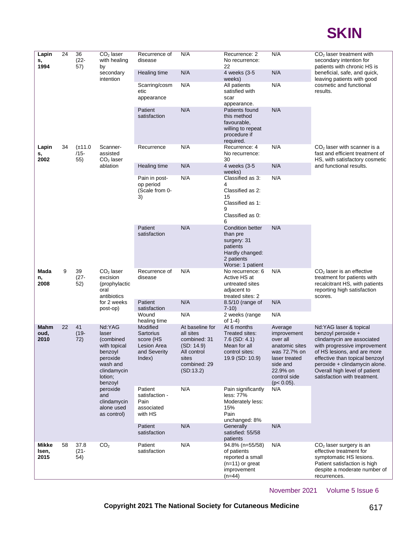

| Lapin<br>s,            | 24<br>36<br>$(22 -$<br>1994<br>57) | $CO2$ laser<br>with healing<br>by                                                                             | Recurrence of<br>disease                                                                   | N/A                                                        | Recurrence: 2<br>No recurrence:<br>22                                                        | N/A                                                                                                             | $CO2$ laser treatment with<br>secondary intention for<br>patients with chronic HS is                                     |                                                                                                                                                                 |                                                                                                                                                                                                                                                                                |                            |     |
|------------------------|------------------------------------|---------------------------------------------------------------------------------------------------------------|--------------------------------------------------------------------------------------------|------------------------------------------------------------|----------------------------------------------------------------------------------------------|-----------------------------------------------------------------------------------------------------------------|--------------------------------------------------------------------------------------------------------------------------|-----------------------------------------------------------------------------------------------------------------------------------------------------------------|--------------------------------------------------------------------------------------------------------------------------------------------------------------------------------------------------------------------------------------------------------------------------------|----------------------------|-----|
|                        |                                    |                                                                                                               | secondary<br>intention                                                                     | Healing time                                               | N/A                                                                                          | 4 weeks (3-5<br>weeks)                                                                                          | N/A                                                                                                                      | beneficial, safe, and quick,<br>leaving patients with good                                                                                                      |                                                                                                                                                                                                                                                                                |                            |     |
|                        |                                    |                                                                                                               |                                                                                            | Scarring/cosm<br>etic<br>appearance                        | N/A                                                                                          | All patients<br>satisfied with<br>scar<br>appearance.                                                           | N/A                                                                                                                      | cosmetic and functional<br>results.                                                                                                                             |                                                                                                                                                                                                                                                                                |                            |     |
|                        |                                    |                                                                                                               |                                                                                            | Patient<br>satisfaction                                    | N/A                                                                                          | Patients found<br>this method<br>favourable,<br>willing to repeat<br>procedure if<br>required.                  | N/A                                                                                                                      |                                                                                                                                                                 |                                                                                                                                                                                                                                                                                |                            |     |
| Lapin<br>s,<br>2002    | 34                                 | $(\pm 11.0$<br>$/15-$<br>55)                                                                                  | Scanner-<br>assisted                                                                       | Recurrence                                                 | N/A                                                                                          | Recurrence: 4<br>No recurrence:<br>30                                                                           | N/A                                                                                                                      | $CO2$ laser with scanner is a<br>fast and efficient treatment of<br>HS, with satisfactory cosmetic                                                              |                                                                                                                                                                                                                                                                                |                            |     |
|                        |                                    |                                                                                                               | $CO2$ laser<br>ablation                                                                    |                                                            | Healing time                                                                                 | N/A                                                                                                             | 4 weeks (3-5<br>weeks)                                                                                                   | N/A                                                                                                                                                             | and functional results.                                                                                                                                                                                                                                                        |                            |     |
|                        |                                    |                                                                                                               | Pain in post-<br>op period<br>(Scale from 0-<br>3)                                         | N/A                                                        | Classified as 3:<br>4<br>Classified as 2:<br>15<br>Classified as 1:<br>9<br>Classified as 0: | N/A                                                                                                             |                                                                                                                          |                                                                                                                                                                 |                                                                                                                                                                                                                                                                                |                            |     |
|                        |                                    |                                                                                                               |                                                                                            |                                                            | Patient<br>satisfaction                                                                      | N/A                                                                                                             | 6<br><b>Condition better</b><br>than pre<br>surgery: 31<br>patients<br>Hardly changed:<br>2 patients<br>Worse: 1 patient | N/A                                                                                                                                                             |                                                                                                                                                                                                                                                                                |                            |     |
| Mada<br>n,<br>2008     | 9                                  | 39<br>$(27 -$<br>52)                                                                                          | $CO2$ laser<br>excision<br>(prophylactic<br>oral<br>antibiotics<br>for 2 weeks<br>post-op) | Recurrence of<br>disease                                   | N/A                                                                                          | No recurrence: 6<br>Active HS at<br>untreated sites<br>adjacent to<br>treated sites: 2                          | N/A                                                                                                                      | $CO2$ laser is an effective<br>treatment for patients with<br>recalcitrant HS, with patients<br>reporting high satisfaction<br>scores.                          |                                                                                                                                                                                                                                                                                |                            |     |
|                        |                                    |                                                                                                               |                                                                                            |                                                            |                                                                                              |                                                                                                                 |                                                                                                                          | Patient<br>satisfaction                                                                                                                                         | N/A                                                                                                                                                                                                                                                                            | 8.5/10 (range of<br>$7-10$ | N/A |
|                        |                                    |                                                                                                               |                                                                                            | Wound<br>healing time                                      | N/A                                                                                          | 2 weeks (range)<br>of $1-4$ )                                                                                   | N/A                                                                                                                      |                                                                                                                                                                 |                                                                                                                                                                                                                                                                                |                            |     |
| Mahm<br>oud,<br>2010   | 22                                 | 41<br>Nd:YAG<br>$(19 -$<br>laser<br>72)<br>(combined<br>benzoyl<br>peroxide<br>wash and<br>lotion;<br>benzoyl | with topical<br>clindamycin                                                                |                                                            | Modified<br>Sartorius<br>score (HS<br>Lesion Area<br>and Severity<br>Index)                  | At baseline for<br>all sites<br>combined: 31<br>(SD: 14.9)<br>All control<br>sites<br>combined: 29<br>(SD:13.2) | At 6 months<br>Treated sites:<br>$7.6$ (SD: 4.1)<br>Mean for all<br>control sites:<br>19.9 (SD: 10.9)                    | Average<br>improvement<br>over all<br>anatomic sites<br>was 72.7% on<br>laser treated<br>side and<br>22.9% on<br>control side<br>$(p < 0.05)$ .                 | Nd: YAG laser & topical<br>benzoyl peroxide +<br>clindamycin are associated<br>with progressive improvement<br>of HS lesions, and are more<br>effective than topical benzoyl<br>peroxide + clindamycin alone.<br>Overall high level of patient<br>satisfaction with treatment. |                            |     |
|                        |                                    |                                                                                                               | peroxide<br>and<br>clindamycin<br>alone used<br>as control)                                | Patient<br>satisfaction -<br>Pain<br>associated<br>with HS | N/A                                                                                          | Pain significantly<br>less: 77%<br>Moderately less:<br>15%<br>Pain<br>unchanged: 8%                             | N/A                                                                                                                      |                                                                                                                                                                 |                                                                                                                                                                                                                                                                                |                            |     |
|                        |                                    |                                                                                                               |                                                                                            | Patient<br>satisfaction                                    | N/A                                                                                          | Generally<br>satisfied: 55/58<br>patients                                                                       | N/A                                                                                                                      |                                                                                                                                                                 |                                                                                                                                                                                                                                                                                |                            |     |
| Mikke<br>Isen,<br>2015 | 58                                 | 37.8<br>$(21 -$<br>54)                                                                                        | CO <sub>2</sub>                                                                            | Patient<br>satisfaction                                    | N/A                                                                                          | 94.8% (n=55/58)<br>of patients<br>reported a small<br>$(n=11)$ or great<br>improvement<br>$(n=44)$              | N/A                                                                                                                      | $CO2$ laser surgery is an<br>effective treatment for<br>symptomatic HS lesions.<br>Patient satisfaction is high<br>despite a moderate number of<br>recurrences. |                                                                                                                                                                                                                                                                                |                            |     |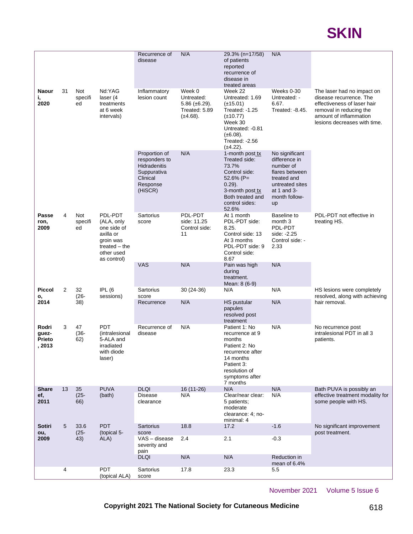|                                    |    |                                                                                     |                                                                                                                | Recurrence of<br>disease                                                                         | N/A                                                                                                                                                                                 | 29.3% (n=17/58)<br>of patients<br>reported<br>recurrence of<br>disease in                                                                                 | N/A                                                                                                                                                                       |                                                                                      |
|------------------------------------|----|-------------------------------------------------------------------------------------|----------------------------------------------------------------------------------------------------------------|--------------------------------------------------------------------------------------------------|-------------------------------------------------------------------------------------------------------------------------------------------------------------------------------------|-----------------------------------------------------------------------------------------------------------------------------------------------------------|---------------------------------------------------------------------------------------------------------------------------------------------------------------------------|--------------------------------------------------------------------------------------|
| <b>Naour</b><br>i,<br>2020         | 31 | Not<br>Nd:YAG<br>specifi<br>laser (4<br>ed<br>treatments<br>at 6 week<br>intervals) | Inflammatory<br>lesion count                                                                                   | Week 0<br>Untreated:<br>$5.86 \ (\pm 6.29)$ .<br>Treated: 5.89<br>$(\pm 4.68)$ .                 | treated areas<br>Week 22<br>Untreated: 1.69<br>$(\pm 15.01)$<br>Treated: -1.25<br>$(\pm 10.77)$<br>Week 30<br>Untreated: -0.81<br>$(\pm 6.08).$<br>Treated: -2.56<br>$(\pm 4.22)$ . | Weeks 0-30<br>Untreated: -<br>6.67.<br>Treated: -8.45.                                                                                                    | The laser had no impact on<br>disease recurrence. The<br>effectiveness of laser hair<br>removal in reducing the<br>amount of inflammation<br>lesions decreases with time. |                                                                                      |
|                                    |    |                                                                                     |                                                                                                                | Proportion of<br>responders to<br>Hidradenitis<br>Suppurativa<br>Clinical<br>Response<br>(HiSCR) | N/A                                                                                                                                                                                 | 1-month post tx<br>Treated side:<br>73.7%<br>Control side:<br>$52.6\%$ (P=<br>$0.29$ ).<br>3-month post tx<br>Both treated and<br>control sides:<br>52.6% | No significant<br>difference in<br>number of<br>flares between<br>treated and<br>untreated sites<br>at 1 and $3-$<br>month follow-<br>up                                  |                                                                                      |
| Passe<br>ron,<br>2009              | 4  | Not<br>specifi<br>ed                                                                | PDL-PDT<br>(ALA, only<br>one side of<br>axilla or<br>groin was<br>treated $-$ the<br>other used<br>as control) | Sartorius<br>score                                                                               | PDL-PDT<br>side: 11.25<br>Control side:<br>11                                                                                                                                       | At 1 month<br>PDL-PDT side:<br>8.25.<br>Control side: 13<br>At 3 months<br>PDL-PDT side: 9<br>Control side:<br>8.67                                       | Baseline to<br>month <sub>3</sub><br>PDL-PDT<br>side: -2.25<br>Control side: -<br>2.33                                                                                    | PDL-PDT not effective in<br>treating HS.                                             |
|                                    |    |                                                                                     |                                                                                                                | <b>VAS</b>                                                                                       | N/A                                                                                                                                                                                 | Pain was high<br>during<br>treatment.<br>Mean: 8 (6-9)                                                                                                    | N/A                                                                                                                                                                       |                                                                                      |
| <b>Piccol</b><br>ο,                | 2  | 32<br>$(26 -$                                                                       | IPL <sub>(6</sub><br>sessions)                                                                                 | Sartorius<br>score                                                                               | $30(24-36)$                                                                                                                                                                         | N/A                                                                                                                                                       | N/A                                                                                                                                                                       | HS lesions were completely<br>resolved, along with achieving                         |
| 2014                               |    | 38)                                                                                 |                                                                                                                | Recurrence                                                                                       | N/A                                                                                                                                                                                 | HS pustular<br>papules<br>resolved post<br>treatment                                                                                                      | N/A                                                                                                                                                                       | hair removal.                                                                        |
| Rodri<br>guez-<br>Prieto<br>, 2013 | 3  | 47<br>$(36 -$<br>62)                                                                | <b>PDT</b><br>(intralesional<br>5-ALA and<br>irradiated<br>with diode<br>laser)                                | Recurrence of<br>disease                                                                         | N/A                                                                                                                                                                                 | Patient 1: No<br>recurrence at 9<br>months<br>Patient 2: No<br>recurrence after<br>14 months<br>Patient 3:<br>resolution of<br>symptoms after<br>7 months | N/A                                                                                                                                                                       | No recurrence post<br>intralesional PDT in all 3<br>patients.                        |
| <b>Share</b><br>ef,<br>2011        | 13 | 35<br>$(25 -$<br>66)                                                                | <b>PUVA</b><br>(bath)                                                                                          | <b>DLQI</b><br>Disease<br>clearance                                                              | 16 (11-26)<br>N/A                                                                                                                                                                   | N/A<br>Clear/near clear:<br>5 patients;<br>moderate<br>clearance: 4; no-<br>minimal: 4                                                                    | N/A<br>N/A                                                                                                                                                                | Bath PUVA is possibly an<br>effective treatment modality for<br>some people with HS. |
| <b>Sotiri</b><br>ou,               | 5  | 33.6<br>$(25 -$                                                                     | <b>PDT</b>                                                                                                     | <b>Sartorius</b><br>score                                                                        | 18.8                                                                                                                                                                                | 17.2                                                                                                                                                      | $-1.6$                                                                                                                                                                    | No significant improvement<br>post treatment.                                        |
| 2009                               |    | 43)                                                                                 | (topical 5-<br>ALA)                                                                                            | VAS - disease<br>severity and<br>pain                                                            | 2.4                                                                                                                                                                                 | 2.1                                                                                                                                                       | $-0.3$                                                                                                                                                                    |                                                                                      |
|                                    |    |                                                                                     |                                                                                                                | <b>DLQI</b>                                                                                      | N/A                                                                                                                                                                                 | N/A                                                                                                                                                       | Reduction in<br>mean of 6.4%                                                                                                                                              |                                                                                      |
|                                    | 4  |                                                                                     | <b>PDT</b><br>(topical ALA)                                                                                    | Sartorius<br>score                                                                               | 17.8                                                                                                                                                                                | 23.3                                                                                                                                                      | 5.5                                                                                                                                                                       |                                                                                      |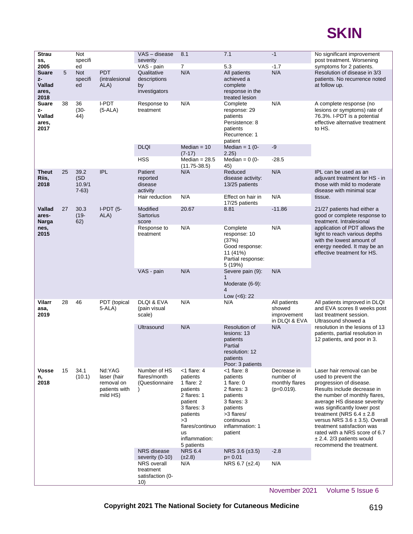

| <b>Strau</b><br>SS,<br>2005            |    | Not<br>specifi<br>ed        |                                                                  | VAS - disease<br>severity<br>VAS - pain                     | 8.1<br>$\overline{7}$                                                                                                                                                       | 7.1<br>5.3                                                                                                                                                 | $-1$<br>$-1.7$                                              | No significant improvement<br>post treatment. Worsening<br>symptoms for 2 patients.                                                                                                                                                                                                                                                                                                                           |
|----------------------------------------|----|-----------------------------|------------------------------------------------------------------|-------------------------------------------------------------|-----------------------------------------------------------------------------------------------------------------------------------------------------------------------------|------------------------------------------------------------------------------------------------------------------------------------------------------------|-------------------------------------------------------------|---------------------------------------------------------------------------------------------------------------------------------------------------------------------------------------------------------------------------------------------------------------------------------------------------------------------------------------------------------------------------------------------------------------|
| Suare<br>z-<br>Vallad<br>ares,<br>2018 | 5  | <b>Not</b><br>specifi<br>ed | <b>PDT</b><br>(intralesional<br>ALA)                             | Qualitative<br>descriptions<br>by<br>investigators          | N/A                                                                                                                                                                         | All patients<br>achieved a<br>complete<br>response in the<br>treated lesion                                                                                | N/A                                                         | Resolution of disease in 3/3<br>patients. No recurrence noted<br>at follow up.                                                                                                                                                                                                                                                                                                                                |
| Suare<br>z-<br>Vallad<br>ares,<br>2017 | 38 | 36<br>$(30 -$<br>44)        | I-PDT<br>$(5-ALA)$                                               | Response to<br>treatment                                    | N/A                                                                                                                                                                         | Complete<br>response: 29<br>patients<br>Persistence: 8<br>patients<br>Recurrence: 1<br>patient                                                             | N/A                                                         | A complete response (no<br>lesions or symptoms) rate of<br>76.3%. I-PDT is a potential<br>effective alternative treatment<br>to HS.                                                                                                                                                                                                                                                                           |
|                                        |    |                             |                                                                  | <b>DLQI</b><br><b>HSS</b>                                   | Median $= 10$<br>$(7-17)$<br>Median $= 28.5$                                                                                                                                | Median = $1(0-$<br>2.25)<br>Median = $0(0-$                                                                                                                | $-9$<br>$-28.5$                                             |                                                                                                                                                                                                                                                                                                                                                                                                               |
| Theut                                  | 25 | 39.2                        | <b>IPL</b>                                                       | Patient                                                     | $(11.75 - 38.5)$<br>N/A                                                                                                                                                     | 45)<br>Reduced                                                                                                                                             | N/A                                                         | IPL can be used as an                                                                                                                                                                                                                                                                                                                                                                                         |
| Riis,<br>2018                          |    | (SD<br>10.9/1<br>$7-63)$    |                                                                  | reported<br>disease<br>activity                             |                                                                                                                                                                             | disease activity:<br>13/25 patients                                                                                                                        |                                                             | adjuvant treatment for HS - in<br>those with mild to moderate<br>disease with minimal scar                                                                                                                                                                                                                                                                                                                    |
|                                        |    |                             |                                                                  | Hair reduction                                              | N/A                                                                                                                                                                         | Effect on hair in<br>17/25 patients                                                                                                                        | N/A                                                         | tissue.                                                                                                                                                                                                                                                                                                                                                                                                       |
| Vallad<br>ares-<br>Narga               | 27 | 30.3<br>$(19 -$<br>62)      | $I-PDT(5-$<br>ALA)                                               | Modified<br><b>Sartorius</b><br>score                       | 20.67                                                                                                                                                                       | 8.81                                                                                                                                                       | $-11.86$                                                    | 21/27 patients had either a<br>good or complete response to<br>treatment. Intralesional                                                                                                                                                                                                                                                                                                                       |
| nes,<br>2015                           |    |                             |                                                                  | Response to<br>treatment                                    | N/A                                                                                                                                                                         | Complete<br>response: 10<br>(37%)<br>Good response:<br>11 (41%)<br>Partial response:<br>5 (19%)                                                            | N/A                                                         | application of PDT allows the<br>light to reach various depths<br>with the lowest amount of<br>energy needed. It may be an<br>effective treatment for HS.                                                                                                                                                                                                                                                     |
|                                        |    |                             |                                                                  | VAS - pain                                                  | N/A                                                                                                                                                                         | Severe pain (9):<br>1<br>Moderate (6-9):<br>4<br>Low $(6)$ : 22                                                                                            | N/A                                                         |                                                                                                                                                                                                                                                                                                                                                                                                               |
| Vilarr<br>asa,<br>2019                 | 28 | 46                          | PDT (topical<br>$5 - ALA$                                        | DLQI & EVA<br>(pain visual<br>scale)                        | N/A                                                                                                                                                                         | N/A                                                                                                                                                        | All patients<br>showed<br>improvement<br>in DLQI & EVA      | All patients improved in DLQI<br>and EVA scores 8 weeks post<br>last treatment session.<br>Ultrasound showed a                                                                                                                                                                                                                                                                                                |
|                                        |    |                             |                                                                  | Ultrasound                                                  | N/A                                                                                                                                                                         | Resolution of<br>lesions: 13<br>patients<br>Partial<br>resolution: 12<br>patients<br>Poor: 3 patients                                                      | N/A                                                         | resolution in the lesions of 13<br>patients, partial resolution in<br>12 patients, and poor in 3.                                                                                                                                                                                                                                                                                                             |
| Vosse<br>n,<br>2018                    | 15 | 34.1<br>(10.1)              | Nd:YAG<br>laser (hair<br>removal on<br>patients with<br>mild HS) | Number of HS<br>flares/month<br>(Questionnaire              | <1 flare: 4<br>patients<br>1 flare: 2<br>patients<br>2 flares: 1<br>patient<br>3 flares: 3<br>patients<br>>3<br>flares/continuo<br><b>us</b><br>inflammation:<br>5 patients | $<$ 1 flare: 8<br>patients<br>1 flare: $0$<br>2 flares: 3<br>patients<br>3 flares: 3<br>patients<br>>3 flares/<br>continuous<br>inflammation: 1<br>patient | Decrease in<br>number of<br>monthly flares<br>$(p=0.019)$ . | Laser hair removal can be<br>used to prevent the<br>progression of disease.<br>Results include decrease in<br>the number of monthly flares,<br>average HS disease severity<br>was significantly lower post<br>treatment (NRS $6.4 \pm 2.8$<br>versus NRS $3.6 \pm 3.5$ ). Overall<br>treatment satisfaction was<br>rated with a NRS score of 6.7<br>$\pm$ 2.4. 2/3 patients would<br>recommend the treatment. |
|                                        |    |                             |                                                                  | <b>NRS</b> disease<br>severity (0-10)<br><b>NRS</b> overall | <b>NRS 6.4</b><br>$(\pm 2.8)$<br>N/A                                                                                                                                        | NRS 3.6 $(\pm 3.5)$<br>$p = 0.01$<br>NRS 6.7 (±2.4)                                                                                                        | $-2.8$<br>N/A                                               |                                                                                                                                                                                                                                                                                                                                                                                                               |
|                                        |    |                             |                                                                  | treatment<br>satisfaction (0-<br>10)                        |                                                                                                                                                                             |                                                                                                                                                            |                                                             |                                                                                                                                                                                                                                                                                                                                                                                                               |